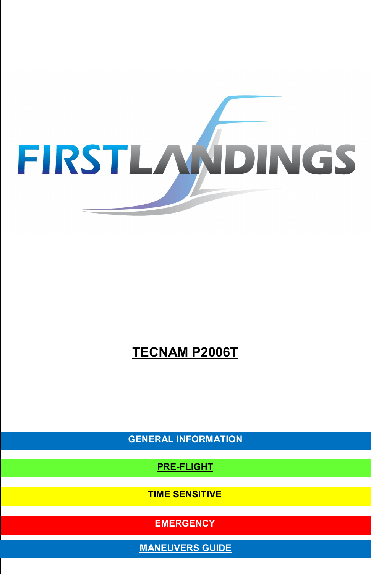

# **TECNAM P2006T**

**GENERAL INFORMATION**

**PRE-FLIGHT**

**TIME SENSITIVE**

**EMERGENCY**

**MANEUVERS GUIDE**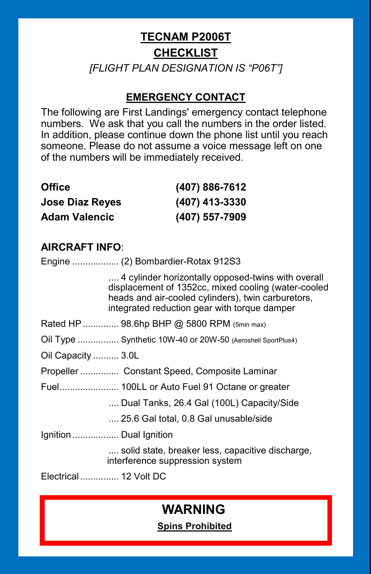# **TECNAM P2006T CHECKLIST** *[FLIGHT PLAN DESIGNATION IS "P06T"]*

# **EMERGENCY CONTACT**

The following are First Landings' emergency contact telephone numbers. We ask that you call the numbers in the order listed. In addition, please continue down the phone list until you reach someone. Please do not assume a voice message left on one of the numbers will be immediately received.

| <b>Office</b>          | (407) 886-7612 |  |  |
|------------------------|----------------|--|--|
| <b>Jose Diaz Reyes</b> | (407) 413-3330 |  |  |
| <b>Adam Valencic</b>   | (407) 557-7909 |  |  |

# **AIRCRAFT INFO**:

Engine .................. (2) Bombardier-Rotax 912S3

.... 4 cylinder horizontally opposed-twins with overall displacement of 1352cc, mixed cooling (water-cooled heads and air-cooled cylinders), twin carburetors, integrated reduction gear with torque damper

- Rated HP............... 98.6hp BHP @ 5800 RPM (5min max)
- Oil Type ................ Synthetic 10W-40 or 20W-50 (Aeroshell SportPlus4)
- Oil Capacity .......... 3.0L

Propeller ............... Constant Speed, Composite Laminar

Fuel....................... 100LL or Auto Fuel 91 Octane or greater

.... Dual Tanks, 26.4 Gal (100L) Capacity/Side

.... 25.6 Gal total, 0.8 Gal unusable/side

Ignition .................. Dual Ignition

.... solid state, breaker less, capacitive discharge, interference suppression system

Electrical ............... 12 Volt DC

# **WARNING**

 **Spins Prohibited**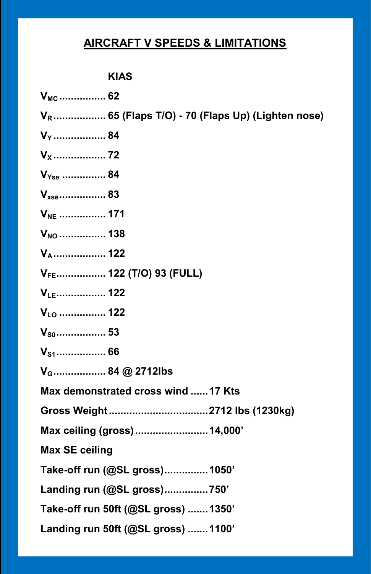# **AIRCRAFT V SPEEDS & LIMITATIONS**

# **KIAS**

| $V_{MC}$ 62                                                  |
|--------------------------------------------------------------|
| V <sub>R</sub> 65 (Flaps T/O) - 70 (Flaps Up) (Lighten nose) |
| V <sub>Y</sub> 84                                            |
|                                                              |
| $V_{Yse}$ 84                                                 |
| $V_{xse}$ 83                                                 |
| V <sub>NE</sub> 171                                          |
|                                                              |
| V <sub>A</sub> 122                                           |
| V <sub>FE</sub> 122 (T/O) 93 (FULL)                          |
| $V_{LE}$ 122                                                 |
| $V_{L0}$ 122                                                 |
| $V_{S0}$ 53                                                  |
|                                                              |
| V <sub>G</sub> 84 @ 2712lbs                                  |
| Max demonstrated cross wind 17 Kts                           |
|                                                              |
| Max ceiling (gross)  14,000'                                 |
| <b>Max SE ceiling</b>                                        |
| Take-off run (@SL gross) 1050'                               |
| Landing run (@SL gross)750'                                  |
| Take-off run 50ft (@SL gross)  1350'                         |
| Landing run 50ft (@SL gross) 1100'                           |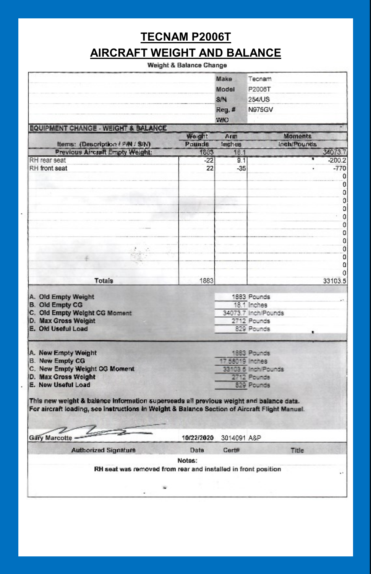# **TECNAM P2006T**

# **AIRCRAFT WEIGHT AND BALANCE**

#### Weight & Balance Change

|                                                                                               |            | Make            | Tecnam                             |               |
|-----------------------------------------------------------------------------------------------|------------|-----------------|------------------------------------|---------------|
|                                                                                               |            | Model           | P2008T                             |               |
|                                                                                               |            | S/N             | 254/US                             |               |
|                                                                                               |            |                 |                                    |               |
|                                                                                               |            | Reg. #          | <b>N975GV</b>                      |               |
| <b>EQUIPMENT CHANGE - WEIGHT &amp; BALANCE</b>                                                |            | WIO             |                                    |               |
|                                                                                               | Weight     | Arm             | <b>Moments</b>                     |               |
| Items: (Description / P/N / S/N)                                                              | Pounds     | Inches          | Inch/Pounds                        |               |
| Previous Aircraft Empty Weight:                                                               | 1883       | 181             |                                    | 34073.7       |
| RH rear seat                                                                                  | $-22$      | 9.1             |                                    | $-200.2$      |
| RH front seat                                                                                 | 22         | $-35$           |                                    | $-770$        |
|                                                                                               |            |                 |                                    | 0             |
|                                                                                               |            |                 |                                    | $\mathbf 0$   |
|                                                                                               |            |                 |                                    | O             |
|                                                                                               |            |                 |                                    | 0             |
|                                                                                               |            |                 |                                    |               |
|                                                                                               |            |                 |                                    | $\frac{0}{0}$ |
|                                                                                               |            |                 |                                    | o             |
|                                                                                               |            |                 |                                    | o             |
|                                                                                               |            |                 |                                    | 0             |
|                                                                                               |            |                 |                                    | o             |
|                                                                                               |            |                 |                                    | $\Omega$      |
|                                                                                               |            |                 |                                    | $\mathbf 0$   |
| Totals                                                                                        | 1883       |                 |                                    | 33103.5       |
|                                                                                               |            |                 |                                    |               |
| A. Old Empty Weight                                                                           |            |                 | 1883 Pounds                        |               |
| <b>B.</b> Old Empty CG                                                                        |            |                 | 18.1 Inches                        |               |
| C. Old Empty Weight CG Moment                                                                 |            |                 | 34073.7 Inch/Pounds<br>2712 Pounds |               |
| D. Max Gross Weight<br>E. Old Useful Load                                                     |            |                 | 829 Pounds                         |               |
|                                                                                               |            |                 |                                    |               |
|                                                                                               |            |                 |                                    |               |
| A. New Empty Weight                                                                           |            |                 | 1883 Pounds                        |               |
| <b>B.</b> New Empty CG                                                                        |            | 17,58019 Inches |                                    |               |
| C. New Empty Weight CG Moment                                                                 |            |                 | 33103 5 Inch/Pounds                |               |
| D. Max Gross Weight<br>E. New Useful Load                                                     |            |                 | 2712 Pounds                        |               |
|                                                                                               |            |                 | 829 Pounds                         |               |
| This new weight & balance information superseads all previous weight and balance data.        |            |                 |                                    |               |
| For aircraft loading, see instructions in Weight & Balance Section of Aircraft Flight Manuel. |            |                 |                                    |               |
|                                                                                               |            |                 |                                    |               |
|                                                                                               |            |                 |                                    |               |
| Gary Marcotte                                                                                 | 10/22/2020 | 3014091 A&P     |                                    |               |
| <b>Authorized Signature</b>                                                                   | Date       | Cert#           | Title                              |               |
|                                                                                               | Notes:     |                 |                                    |               |
| RH seat was removed from rear and installed in front position                                 |            |                 |                                    |               |
|                                                                                               |            |                 |                                    |               |
|                                                                                               |            |                 |                                    |               |
|                                                                                               |            |                 |                                    |               |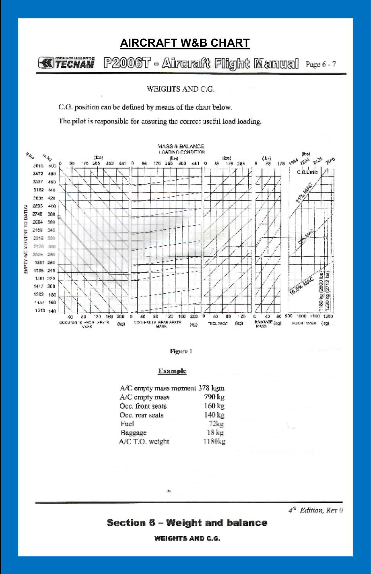# **AIRCRAFT W&B CHART**

#### P2006T - Aircraft Flight Manual Page 6-7 **KITECHAM**

WEIGHTS AND C.G.

C.G. position can be defined by means of the chart below.

The pilot is responsible for cosuring the correct useful load loading.





#### Example

| A/C empty mass moment 378 kgm |                    |
|-------------------------------|--------------------|
| A/C cmpty mass                | 790 kg             |
| Occ. front seats              | 160 kg             |
| Oce. rear seats               | 140 kg             |
| Fucl                          | $72$ ks            |
| Baggage                       | $18 \,\mathrm{kr}$ |
| A/C T.O. weight               | 1180kg             |

×

4<sup>th</sup> Edition, Rev 0

## Section 6 - Weight and balance

**WEIGHTS AND C.G.**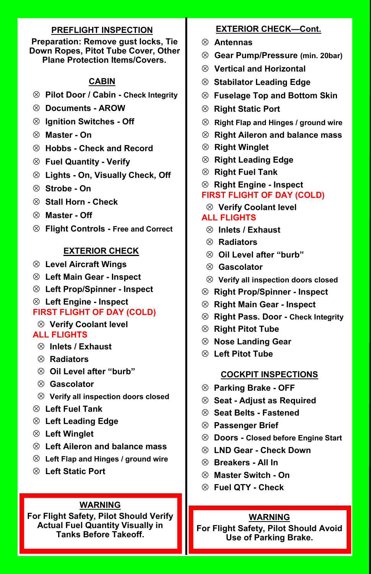## **PREFLIGHT INSPECTION**

#### **Preparation: Remove gust locks, Tie Down Ropes, Pitot Tube Cover, Other Plane Protection Items/Covers.**

## **CABIN**

- **Pilot Door / Cabin - Check Integrity**
- **Documents - AROW**
- **Ignition Switches - Off**
- **Master - On**
- **Hobbs - Check and Record**
- **Fuel Quantity - Verify**
- **Lights - On, Visually Check, Off**
- **Strobe - On**
- **Stall Horn - Check**
- **Master - Off**
- **Flight Controls - Free and Correct**

## **EXTERIOR CHECK**

- **Level Aircraft Wings**
- **Left Main Gear - Inspect**
- **Left Prop/Spinner - Inspect**
- **Left Engine - Inspect**

# **FIRST FLIGHT OF DAY (COLD)**

**Verify Coolant level**

## **ALL FLIGHTS**

- **Inlets / Exhaust**
- **Radiators**
- **Oil Level after "burb"**
- **Gascolator**
- **Verify all inspection doors closed**
- **Left Fuel Tank**
- **Left Leading Edge**
- **Left Winglet**
- **Left Aileron and balance mass**
- **Left Flap and Hinges / ground wire**
- **Left Static Port**

## **WARNING**

**For Flight Safety, Pilot Should Verify Actual Fuel Quantity Visually in Tanks Before Takeoff.**

## **EXTERIOR CHECK—Cont.**

- **Antennas**
- **Gear Pump/Pressure (min. 20bar)**
- **Vertical and Horizontal**
- **Stabilator Leading Edge**
- **Fuselage Top and Bottom Skin**
- **Right Static Port**
- **Right Flap and Hinges / ground wire**
- **Right Aileron and balance mass**
- **Right Winglet**
- **Right Leading Edge**
- **Right Fuel Tank**
- **Right Engine - Inspect**
- **FIRST FLIGHT OF DAY (COLD)**
- **Verify Coolant level**

## **ALL FLIGHTS**

- **Inlets / Exhaust**
- **Radiators**
- **Oil Level after "burb"**
- **Gascolator**
- **Verify all inspection doors closed**
- **Right Prop/Spinner - Inspect**
- **Right Main Gear - Inspect**
- **Right Pass. Door - Check Integrity**
- **Right Pitot Tube**
- **Nose Landing Gear**
- **Left Pitot Tube**

#### **COCKPIT INSPECTIONS**

- **Parking Brake - OFF**
- **Seat - Adjust as Required**
- **Seat Belts - Fastened**
- **Passenger Brief**
- **Doors - Closed before Engine Start**
- **LND Gear - Check Down**
- **Breakers - All In**
- **Master Switch - On**
- **Fuel QTY - Check**

#### **WARNING**

**For Flight Safety, Pilot Should Avoid Use of Parking Brake.**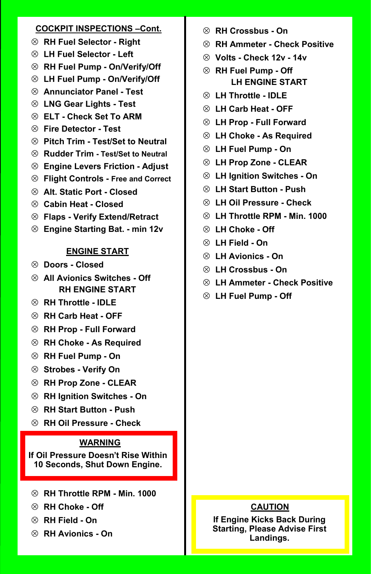#### **COCKPIT INSPECTIONS –Cont.**

- **RH Fuel Selector - Right**
- **LH Fuel Selector - Left**
- **RH Fuel Pump - On/Verify/Off**
- **LH Fuel Pump - On/Verify/Off**
- **Annunciator Panel - Test**
- **LNG Gear Lights - Test**
- **ELT - Check Set To ARM**
- **Fire Detector - Test**
- **Pitch Trim - Test/Set to Neutral**
- **Rudder Trim - Test/Set to Neutral**
- **Engine Levers Friction - Adjust**
- **Flight Controls - Free and Correct**
- **Alt. Static Port - Closed**
- **Cabin Heat - Closed**
- **Flaps - Verify Extend/Retract**
- **Engine Starting Bat. - min 12v**

## **ENGINE START**

- **Doors - Closed**
- **All Avionics Switches - Off RH ENGINE START**
- **RH Throttle - IDLE**
- **RH Carb Heat - OFF**
- **RH Prop - Full Forward**
- **RH Choke - As Required**
- **RH Fuel Pump - On**
- **Strobes - Verify On**
- **RH Prop Zone - CLEAR**
- **RH Ignition Switches - On**
- **RH Start Button - Push**
- **RH Oil Pressure - Check**

#### **WARNING**

**If Oil Pressure Doesn't Rise Within 10 Seconds, Shut Down Engine.**

- **RH Throttle RPM - Min. 1000**
- **RH Choke - Off**
- **RH Field - On**
- **RH Avionics - On**
- **RH Crossbus - On**
- **RH Ammeter - Check Positive**
- **Volts - Check 12v - 14v**
- **RH Fuel Pump - Off LH ENGINE START**
- **LH Throttle - IDLE**
- **LH Carb Heat - OFF**
- **LH Prop - Full Forward**
- **LH Choke - As Required**
- **LH Fuel Pump - On**
- **LH Prop Zone - CLEAR**
- **LH Ignition Switches - On**
- **LH Start Button - Push**
- **LH Oil Pressure - Check**
- **LH Throttle RPM - Min. 1000**
- **LH Choke - Off**
- **LH Field - On**
- **LH Avionics - On**
- **LH Crossbus - On**
- **LH Ammeter - Check Positive**
- **LH Fuel Pump - Off**

#### **CAUTION**

**If Engine Kicks Back During Starting, Please Advise First Landings.**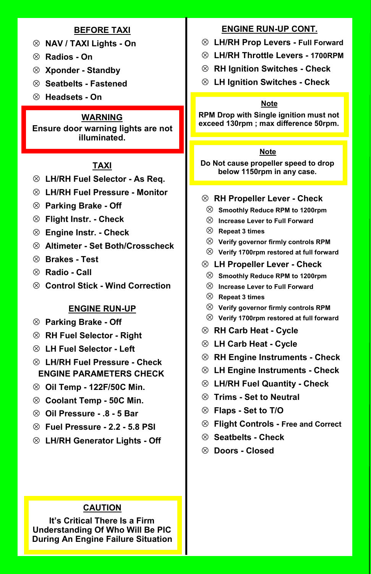#### **BEFORE TAXI**

- **NAV / TAXI Lights - On**
- **Radios - On**
- **Xponder - Standby**
- **Seatbelts - Fastened**
- **Headsets - On**

## **WARNING**

**Ensure door warning lights are not illuminated.**

## **TAXI**

- **LH/RH Fuel Selector - As Req.**
- **LH/RH Fuel Pressure - Monitor**
- **Parking Brake - Off**
- **Flight Instr. - Check**
- **Engine Instr. - Check**
- **Altimeter - Set Both/Crosscheck**
- **Brakes - Test**
- **Radio - Call**
- **Control Stick - Wind Correction**

#### **ENGINE RUN-UP**

- **Parking Brake - Off**
- **RH Fuel Selector - Right**
- **LH Fuel Selector - Left**
- **LH/RH Fuel Pressure - Check ENGINE PARAMETERS CHECK**
- **Oil Temp - 122F/50C Min.**
- **Coolant Temp - 50C Min.**
- **Oil Pressure - .8 - 5 Bar**
- **Fuel Pressure - 2.2 - 5.8 PSI**
- **LH/RH Generator Lights - Off**

## **CAUTION**

**It's Critical There Is a Firm Understanding Of Who Will Be PIC During An Engine Failure Situation**

#### **ENGINE RUN-UP CONT.**

- **LH/RH Prop Levers - Full Forward**
- **LH/RH Throttle Levers - 1700RPM**
- **RH Ignition Switches - Check**
- **LH Ignition Switches - Check**

#### **Note**

**RPM Drop with Single ignition must not exceed 130rpm ; max difference 50rpm.**

#### **Note**

**Do Not cause propeller speed to drop below 1150rpm in any case.**

#### **RH Propeller Lever - Check**

- **Smoothly Reduce RPM to 1200rpm**
- **Increase Lever to Full Forward**
- **Repeat 3 times**
- **Verify governor firmly controls RPM**
- **Verify 1700rpm restored at full forward**

#### **LH Propeller Lever - Check**

- **Smoothly Reduce RPM to 1200rpm**
- **Increase Lever to Full Forward**
- **Repeat 3 times**
- **Verify governor firmly controls RPM**
- **Verify 1700rpm restored at full forward**
- **RH Carb Heat - Cycle**
- **LH Carb Heat - Cycle**
- **RH Engine Instruments - Check**
- **LH Engine Instruments - Check**
- **LH/RH Fuel Quantity - Check**
- **Trims - Set to Neutral**
- **Flaps - Set to T/O**
- **Flight Controls - Free and Correct**
- **Seatbelts - Check**
- **Doors - Closed**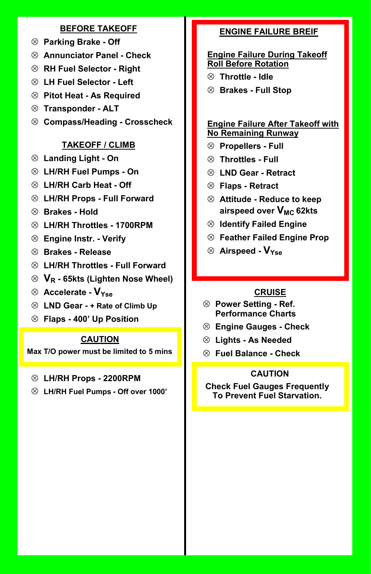#### **BEFORE TAKEOFF**

- **Parking Brake - Off**
- **Annunciator Panel - Check**
- **RH Fuel Selector - Right**
- **LH Fuel Selector - Left**
- **Pitot Heat - As Required**
- **Transponder - ALT**
- **Compass/Heading - Crosscheck**

## **TAKEOFF / CLIMB**

- **Landing Light - On**
- **LH/RH Fuel Pumps - On**
- **LH/RH Carb Heat - Off**
- **LH/RH Props - Full Forward**
- **Brakes - Hold**
- **LH/RH Throttles - 1700RPM**
- **Engine Instr. - Verify**
- **Brakes - Release**
- **LH/RH Throttles - Full Forward**
- **V<sup>R</sup> - 65kts (Lighten Nose Wheel)**
- **Accelerate - VYse**
- **LND Gear - + Rate of Climb Up**
- **Flaps - 400' Up Position**

## **CAUTION**

**Max T/O power must be limited to 5 mins**

#### **LH/RH Props - 2200RPM**

**LH/RH Fuel Pumps - Off over 1000'**

## **ENGINE FAILURE BREIF**

#### **Engine Failure During Takeoff Roll Before Rotation**

- **Throttle - Idle**
- **Brakes - Full Stop**

#### **Engine Failure After Takeoff with No Remaining Runway**

- **Propellers - Full**
- **Throttles - Full**
- **LND Gear - Retract**
- **Flaps - Retract**
- **Attitude - Reduce to keep airspeed over VMC 62kts**
- **Identify Failed Engine**
- **Feather Failed Engine Prop**
- **Airspeed - VYse**

## **CRUISE**

- **Power Setting - Ref. Performance Charts**
- **Engine Gauges - Check**
- **Lights - As Needed**
- **Fuel Balance - Check**

#### **CAUTION**

**Check Fuel Gauges Frequently To Prevent Fuel Starvation.**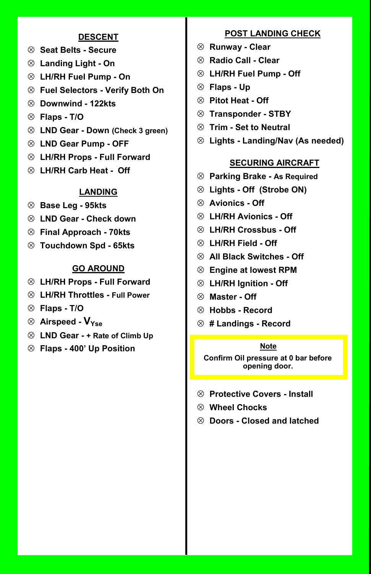#### **DESCENT**

- **Seat Belts - Secure**
- **Landing Light - On**
- **LH/RH Fuel Pump - On**
- **Fuel Selectors - Verify Both On**
- **Downwind - 122kts**
- **Flaps - T/O**
- **LND Gear - Down (Check 3 green)**
- **LND Gear Pump - OFF**
- **LH/RH Props - Full Forward**
- **LH/RH Carb Heat - Off**

#### **LANDING**

- **Base Leg - 95kts**
- **LND Gear - Check down**
- **Final Approach - 70kts**
- **Touchdown Spd - 65kts**

#### **GO AROUND**

- **LH/RH Props - Full Forward**
- **LH/RH Throttles - Full Power**
- **Flaps - T/O**
- **Airspeed - VYse**
- **LND Gear - + Rate of Climb Up**
- **Flaps - 400' Up Position Note**

#### **POST LANDING CHECK**

- **Runway - Clear**
- **Radio Call - Clear**
- **LH/RH Fuel Pump - Off**
- **Flaps - Up**
- **Pitot Heat - Off**
- **Transponder - STBY**
- **Trim - Set to Neutral**
- **Lights - Landing/Nav (As needed)**

#### **SECURING AIRCRAFT**

- **Parking Brake - As Required**
- **Lights - Off (Strobe ON)**
- **Avionics - Off**
- **LH/RH Avionics - Off**
- **LH/RH Crossbus - Off**
- **LH/RH Field - Off**
- **All Black Switches - Off**
- **Engine at lowest RPM**
- **LH/RH Ignition - Off**
- **Master - Off**
- **Hobbs - Record**
- **# Landings - Record**

**Confirm Oil pressure at 0 bar before opening door.**

- **Protective Covers - Install**
- **Wheel Chocks**
- **Doors - Closed and latched**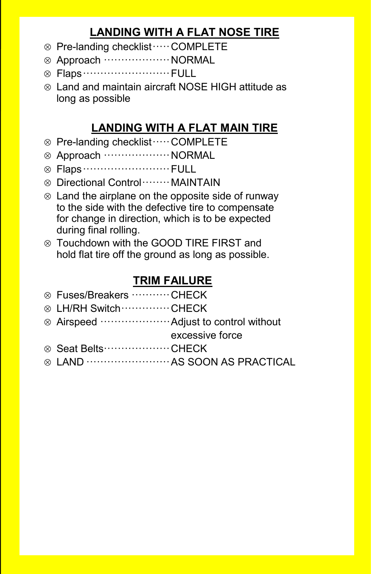# **LANDING WITH A FLAT NOSE TIRE**

- Pre-landing checklist·····COMPLETE
- Approach ···················NORMAL
- Flaps·························FULL
- Land and maintain aircraft NOSE HIGH attitude as long as possible

# **LANDING WITH A FLAT MAIN TIRE**

- Pre-landing checklist·····COMPLETE
- Approach ···················NORMAL
- Flaps·························FULL
- Directional Control········MAINTAIN
- $\otimes$  Land the airplane on the opposite side of runway to the side with the defective tire to compensate for change in direction, which is to be expected during final rolling.
- Touchdown with the GOOD TIRE FIRST and hold flat tire off the ground as long as possible.

# **TRIM FAILURE**

| ⊗ Fuses/Breakers ………… CHECK                   |                                      |
|-----------------------------------------------|--------------------------------------|
| ⊗ LH/RH Switch …………… CHECK                    |                                      |
| ⊗ Airspeed …………………… Adjust to control without |                                      |
|                                               | excessive force                      |
| ⊗ Seat Belts ······················· CHECK    |                                      |
|                                               | ⊗ LAND …………………… AS SOON AS PRACTICAL |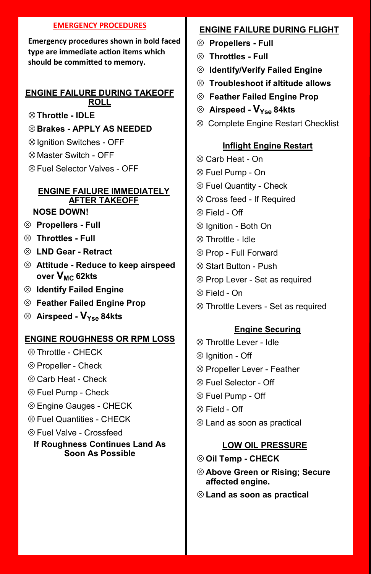#### **EMERGENCY PROCEDURES**

**Emergency procedures shown in bold faced type are immediate action items which should be committed to memory.**

#### **ENGINE FAILURE DURING TAKEOFF ROLL**

- **Throttle - IDLE**
- **Brakes - APPLY AS NEEDED**
- $\otimes$  Ignition Switches OFF
- $\otimes$  Master Switch OFF
- Fuel Selector Valves OFF

# **ENGINE FAILURE IMMEDIATELY AFTER TAKEOFF**

## **NOSE DOWN!**

- **Propellers - Full**
- **Throttles - Full**
- **LND Gear - Retract**
- **Attitude - Reduce to keep airspeed over VMC 62kts**
- **Identify Failed Engine**
- **Feather Failed Engine Prop**
- **Airspeed - VYse 84kts**

# **ENGINE ROUGHNESS OR RPM LOSS**

- $\otimes$  Throttle CHFCK
- $\otimes$  Propeller Check
- $\otimes$  Carb Heat Check
- $\otimes$  Fuel Pump Check
- Engine Gauges CHECK
- $\otimes$  Fuel Quantities CHFCK
- $\otimes$  Fuel Valve Crossfeed

## **If Roughness Continues Land As Soon As Possible**

# **ENGINE FAILURE DURING FLIGHT**

- **Propellers - Full**
- **Throttles - Full**
- **Identify/Verify Failed Engine**
- **Troubleshoot if altitude allows**
- **Feather Failed Engine Prop**
- **Airspeed - VYse 84kts**
- <sup>⊗</sup> Complete Engine Restart Checklist

# **Inflight Engine Restart**

- Carb Heat On
- Fuel Pump On
- $\otimes$  Fuel Quantity Check
- Cross feed If Required
- $\otimes$  Field Off
- $\otimes$  Ignition Both On
- Throttle Idle
- $\otimes$  Prop Full Forward
- Start Button Push
- $\otimes$  Prop Lever Set as required
- $\otimes$  Field On
- Throttle Levers Set as required

## **Engine Securing**

- $\otimes$  Throttle Lever Idle
- $\otimes$  lanition Off
- $\otimes$  Propeller Lever Feather
- Fuel Selector Off
- Fuel Pump Off
- $\otimes$  Field Off
- Land as soon as practical

## **LOW OIL PRESSURE**

- **Oil Temp - CHECK**
- **Above Green or Rising; Secure affected engine.**
- **Land as soon as practical**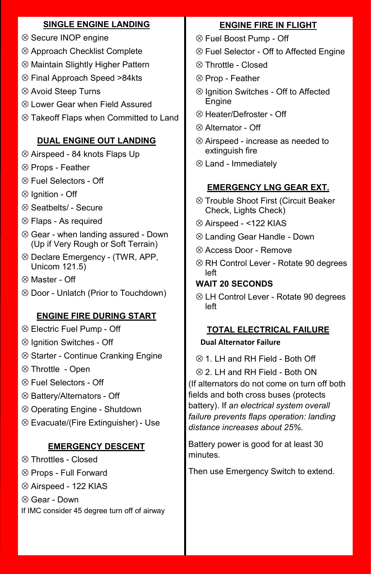# **SINGLE ENGINE LANDING**

- <sup>⊗</sup> Secure INOP engine
- Approach Checklist Complete
- Maintain Slightly Higher Pattern
- Final Approach Speed >84kts
- Avoid Steep Turns
- Lower Gear when Field Assured
- Takeoff Flaps when Committed to Land

# **DUAL ENGINE OUT LANDING**

- Airspeed 84 knots Flaps Up
- $\otimes$  Props Feather
- Fuel Selectors Off
- $\otimes$  Ignition Off
- $\otimes$  Seatbelts/ Secure
- $\otimes$  Flaps As required
- $\otimes$  Gear when landing assured Down (Up if Very Rough or Soft Terrain)
- $\otimes$  Declare Emergency (TWR, APP, Unicom 121.5)
- Master Off
- Door Unlatch (Prior to Touchdown)

# **ENGINE FIRE DURING START**

- Electric Fuel Pump Off
- $\otimes$  Ignition Switches Off
- $\otimes$  Starter Continue Cranking Engine
- Throttle Open
- $\otimes$  Fuel Selectors Off
- Battery/Alternators Off
- Operating Engine Shutdown
- Evacuate/(Fire Extinguisher) Use

# **EMERGENCY DESCENT**

- Throttles Closed
- Props Full Forward
- Airspeed 122 KIAS

 Gear - Down If IMC consider 45 degree turn off of airway

# **ENGINE FIRE IN FLIGHT**

- Fuel Boost Pump Off
- Fuel Selector Off to Affected Engine
- $\otimes$  Throttle Closed
- $\otimes$  Prop Feather
- $\otimes$  Ignition Switches Off to Affected Engine
- Heater/Defroster Off
- $\otimes$  Alternator Off
- Airspeed increase as needed to extinguish fire
- Land Immediately

# **EMERGENCY LNG GEAR EXT.**

- Trouble Shoot First (Circuit Beaker Check, Lights Check)
- Airspeed <122 KIAS
- Landing Gear Handle Down
- Access Door Remove
- RH Control Lever Rotate 90 degrees left

# **WAIT 20 SECONDS**

 LH Control Lever - Rotate 90 degrees left

## **TOTAL ELECTRICAL FAILURE Dual Alternator Failure**

 $\otimes$  1. LH and RH Field - Both Off

 2. LH and RH Field - Both ON (If alternators do not come on turn off both fields and both cross buses (protects

battery). If *an electrical system overall failure prevents flaps operation: landing distance increases about 25%.*

Battery power is good for at least 30 minutes.

Then use Emergency Switch to extend.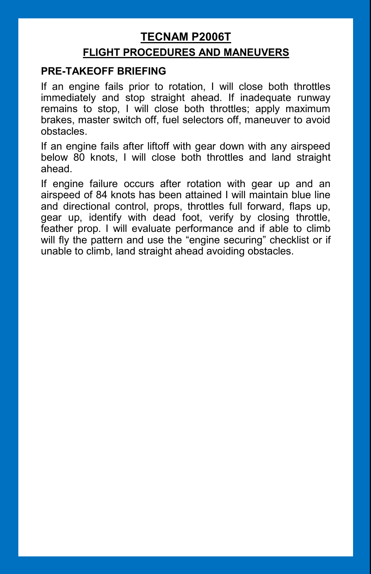# **TECNAM P2006T**

# **FLIGHT PROCEDURES AND MANEUVERS**

# **PRE-TAKEOFF BRIEFING**

If an engine fails prior to rotation, I will close both throttles immediately and stop straight ahead. If inadequate runway remains to stop, I will close both throttles; apply maximum brakes, master switch off, fuel selectors off, maneuver to avoid obstacles.

If an engine fails after liftoff with gear down with any airspeed below 80 knots, I will close both throttles and land straight ahead.

If engine failure occurs after rotation with gear up and an airspeed of 84 knots has been attained I will maintain blue line and directional control, props, throttles full forward, flaps up, gear up, identify with dead foot, verify by closing throttle, feather prop. I will evaluate performance and if able to climb will fly the pattern and use the "engine securing" checklist or if unable to climb, land straight ahead avoiding obstacles.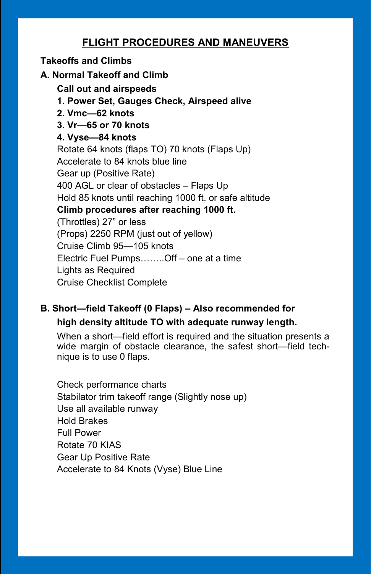# **Takeoffs and Climbs**

**A. Normal Takeoff and Climb**

**Call out and airspeeds**

**1. Power Set, Gauges Check, Airspeed alive**

**2. Vmc—62 knots**

**3. Vr—65 or 70 knots**

# **4. Vyse—84 knots**

Rotate 64 knots (flaps TO) 70 knots (Flaps Up) Accelerate to 84 knots blue line Gear up (Positive Rate) 400 AGL or clear of obstacles – Flaps Up Hold 85 knots until reaching 1000 ft. or safe altitude **Climb procedures after reaching 1000 ft.** (Throttles) 27" or less (Props) 2250 RPM (just out of yellow) Cruise Climb 95—105 knots Electric Fuel Pumps……..Off – one at a time Lights as Required Cruise Checklist Complete

# **B. Short—field Takeoff (0 Flaps) – Also recommended for high density altitude TO with adequate runway length.**

When a short—field effort is required and the situation presents a wide margin of obstacle clearance, the safest short—field technique is to use 0 flaps.

Check performance charts Stabilator trim takeoff range (Slightly nose up) Use all available runway Hold Brakes Full Power Rotate 70 KIAS Gear Up Positive Rate Accelerate to 84 Knots (Vyse) Blue Line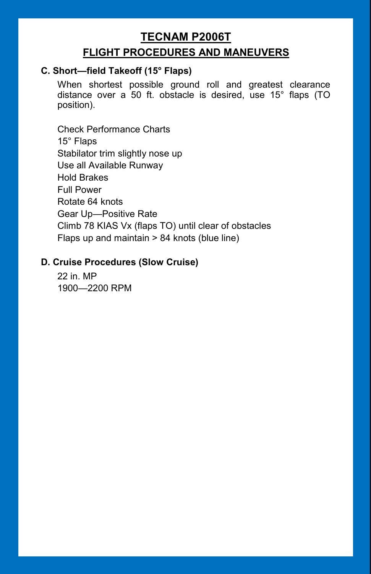# **TECNAM P2006T FLIGHT PROCEDURES AND MANEUVERS**

# **C. Short—field Takeoff (15° Flaps)**

When shortest possible ground roll and greatest clearance distance over a 50 ft. obstacle is desired, use 15° flaps (TO position).

Check Performance Charts 15° Flaps Stabilator trim slightly nose up Use all Available Runway Hold Brakes Full Power Rotate 64 knots Gear Up—Positive Rate Climb 78 KIAS Vx (flaps TO) until clear of obstacles Flaps up and maintain > 84 knots (blue line)

# **D. Cruise Procedures (Slow Cruise)**

22 in. MP 1900—2200 RPM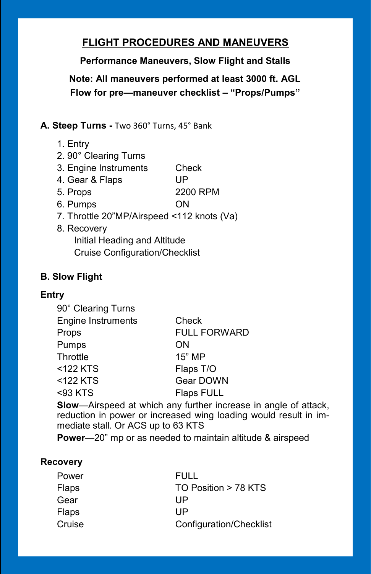**Performance Maneuvers, Slow Flight and Stalls**

**Note: All maneuvers performed at least 3000 ft. AGL Flow for pre—maneuver checklist – "Props/Pumps"**

**A. Steep Turns -** Two 360° Turns, 45° Bank

- 1. Entry
- 2. 90° Clearing Turns
- 3. Engine Instruments Check
- 4. Gear & Flaps UP
- 5. Props 2200 RPM
- 6. Pumps ON
- 7. Throttle 20"MP/Airspeed <112 knots (Va)
- 8. Recovery Initial Heading and Altitude Cruise Configuration/Checklist

# **B. Slow Flight**

# **Entry**

| 90° Clearing Turns        |                     |
|---------------------------|---------------------|
| <b>Engine Instruments</b> | Check               |
| Props                     | <b>FULL FORWARD</b> |
| Pumps                     | ON                  |
| Throttle                  | 15" MP              |
| <122 KTS                  | Flaps T/O           |
| <122 KTS                  | Gear DOWN           |
| <93 KTS                   | <b>Flaps FULL</b>   |
|                           |                     |

**Slow**—Airspeed at which any further increase in angle of attack, reduction in power or increased wing loading would result in immediate stall. Or ACS up to 63 KTS

**Power**—20" mp or as needed to maintain altitude & airspeed

# **Recovery**

| FULL                    |
|-------------------------|
| TO Position > 78 KTS    |
| UP                      |
| UP                      |
| Configuration/Checklist |
|                         |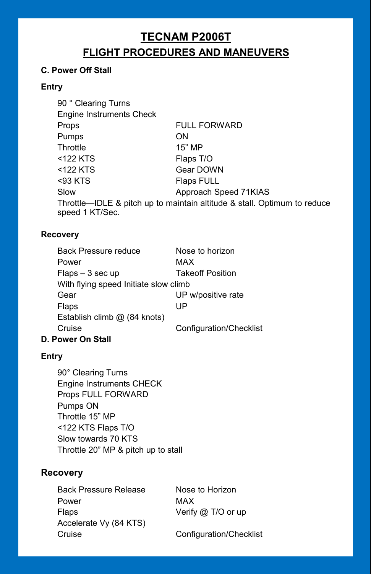# **TECNAM P2006T**

# **FLIGHT PROCEDURES AND MANEUVERS**

## **C. Power Off Stall**

#### **Entry**

| 90 ° Clearing Turns      |                                                                          |
|--------------------------|--------------------------------------------------------------------------|
| Engine Instruments Check |                                                                          |
| Props                    | <b>FULL FORWARD</b>                                                      |
| <b>Pumps</b>             | <b>ON</b>                                                                |
| Throttle                 | 15" MP                                                                   |
| <122 KTS                 | Flaps T/O                                                                |
| <122 KTS                 | Gear DOWN                                                                |
| <93 KTS                  | <b>Flaps FULL</b>                                                        |
| Slow                     | Approach Speed 71KIAS                                                    |
|                          | Throttle—IDLE & pitch up to maintain altitude & stall. Optimum to reduce |
| speed 1 KT/Sec.          |                                                                          |

#### **Recovery**

| <b>Back Pressure reduce</b>           | Nose to horizon         |
|---------------------------------------|-------------------------|
| Power                                 | MAX                     |
| $Flaps - 3 sec up$                    | <b>Takeoff Position</b> |
| With flying speed Initiate slow climb |                         |
| Gear                                  | UP w/positive rate      |
| Flaps                                 | UP                      |
| Establish climb @ (84 knots)          |                         |
| Cruise                                | Configuration/Checklist |
|                                       |                         |

#### **D. Power On Stall**

#### **Entry**

90° Clearing Turns Engine Instruments CHECK Props FULL FORWARD Pumps ON Throttle 15" MP <122 KTS Flaps T/O Slow towards 70 KTS Throttle 20" MP & pitch up to stall

# **Recovery**

Back Pressure Release Nose to Horizon Power MAX Flaps **Verify @ T/O or up** Accelerate Vy (84 KTS) Cruise Configuration/Checklist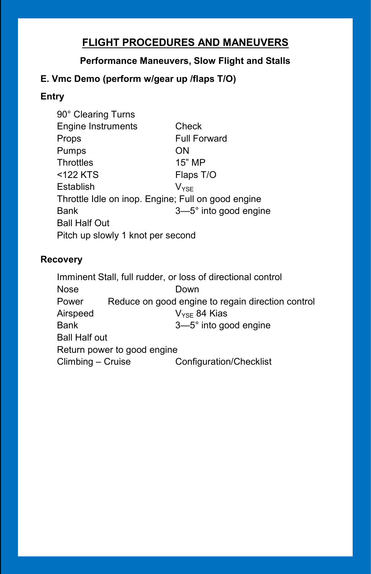# **Performance Maneuvers, Slow Flight and Stalls**

# **E. Vmc Demo (perform w/gear up /flaps T/O)**

# **Entry**

| 90° Clearing Turns                                 |                       |  |
|----------------------------------------------------|-----------------------|--|
| <b>Engine Instruments</b>                          | Check                 |  |
| Props                                              | <b>Full Forward</b>   |  |
| Pumps                                              | ON                    |  |
| Throttles                                          | 15" MP                |  |
| <122 KTS                                           | Flaps T/O             |  |
| Establish                                          | Vvse                  |  |
| Throttle Idle on inop. Engine; Full on good engine |                       |  |
| Bank                                               | 3-5° into good engine |  |
| <b>Ball Half Out</b>                               |                       |  |
| Pitch up slowly 1 knot per second                  |                       |  |

# **Recovery**

Imminent Stall, full rudder, or loss of directional control Nose Down Power Reduce on good engine to regain direction control Airspeed  $V_{\text{YSE}}$  84 Kias Bank 3—5° into good engine Ball Half out Return power to good engine Climbing – Cruise Configuration/Checklist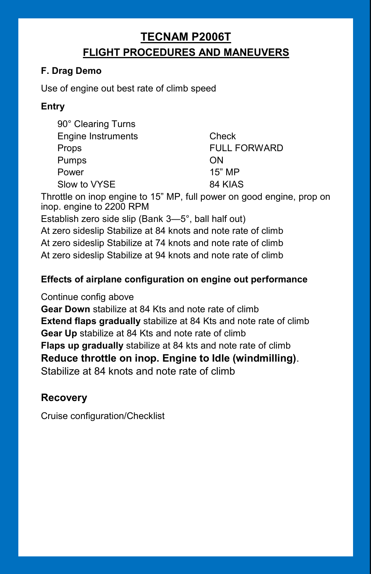# **TECNAM P2006T FLIGHT PROCEDURES AND MANEUVERS**

# **F. Drag Demo**

Use of engine out best rate of climb speed

# **Entry**

| 90° Clearing Turns        |                     |
|---------------------------|---------------------|
| <b>Engine Instruments</b> | Check               |
| Props                     | <b>FULL FORWARD</b> |
| Pumps                     | ON                  |
| Power                     | 15" MP              |
| Slow to VYSE              | 84 KIAS             |

Throttle on inop engine to 15" MP, full power on good engine, prop on inop. engine to 2200 RPM

Establish zero side slip (Bank 3—5°, ball half out)

At zero sideslip Stabilize at 84 knots and note rate of climb At zero sideslip Stabilize at 74 knots and note rate of climb At zero sideslip Stabilize at 94 knots and note rate of climb

# **Effects of airplane configuration on engine out performance**

Continue config above

**Gear Down** stabilize at 84 Kts and note rate of climb **Extend flaps gradually** stabilize at 84 Kts and note rate of climb **Gear Up** stabilize at 84 Kts and note rate of climb **Flaps up gradually** stabilize at 84 kts and note rate of climb **Reduce throttle on inop. Engine to Idle (windmilling)**. Stabilize at 84 knots and note rate of climb

# **Recovery**

Cruise configuration/Checklist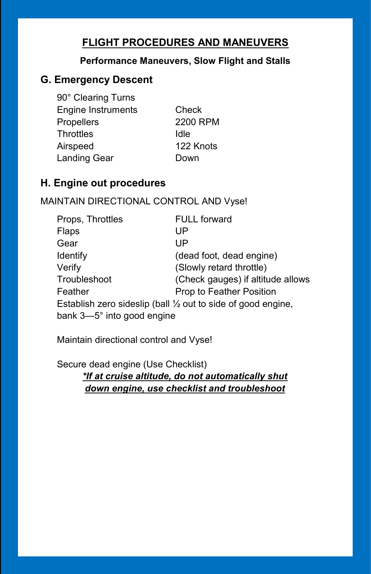# **Performance Maneuvers, Slow Flight and Stalls**

# **G. Emergency Descent**

90° Clearing Turns Engine Instruments Check Propellers 2200 RPM Throttles Idle Airspeed 122 Knots Landing Gear **Down** 

# **H. Engine out procedures**

# MAINTAIN DIRECTIONAL CONTROL AND Vyse!

| Props, Throttles           | <b>FULL forward</b>                                                     |
|----------------------------|-------------------------------------------------------------------------|
| Flaps                      | UP                                                                      |
| Gear                       | UP                                                                      |
| <b>Identify</b>            | (dead foot, dead engine)                                                |
| Verify                     | (Slowly retard throttle)                                                |
| Troubleshoot               | (Check gauges) if altitude allows                                       |
| Feather                    | Prop to Feather Position                                                |
|                            | Establish zero sideslip (ball $\frac{1}{2}$ out to side of good engine, |
| bank 3-5° into good engine |                                                                         |

Maintain directional control and Vyse!

Secure dead engine (Use Checklist) *\*If at cruise altitude, do not automatically shut down engine, use checklist and troubleshoot*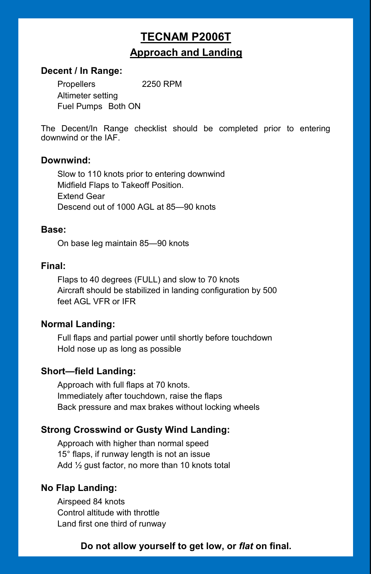# **TECNAM P2006T Approach and Landing**

## **Decent / In Range:**

Propellers 2250 RPM Altimeter setting Fuel Pumps Both ON

The Decent/In Range checklist should be completed prior to entering downwind or the IAF.

#### **Downwind:**

Slow to 110 knots prior to entering downwind Midfield Flaps to Takeoff Position. Extend Gear Descend out of 1000 AGL at 85—90 knots

#### **Base:**

On base leg maintain 85—90 knots

## **Final:**

Flaps to 40 degrees (FULL) and slow to 70 knots Aircraft should be stabilized in landing configuration by 500 feet AGL VFR or IFR

## **Normal Landing:**

Full flaps and partial power until shortly before touchdown Hold nose up as long as possible

## **Short—field Landing:**

Approach with full flaps at 70 knots. Immediately after touchdown, raise the flaps Back pressure and max brakes without locking wheels

## **Strong Crosswind or Gusty Wind Landing:**

Approach with higher than normal speed 15° flaps, if runway length is not an issue Add ½ gust factor, no more than 10 knots total

## **No Flap Landing:**

Airspeed 84 knots Control altitude with throttle Land first one third of runway

## **Do not allow yourself to get low, or** *flat* **on final.**